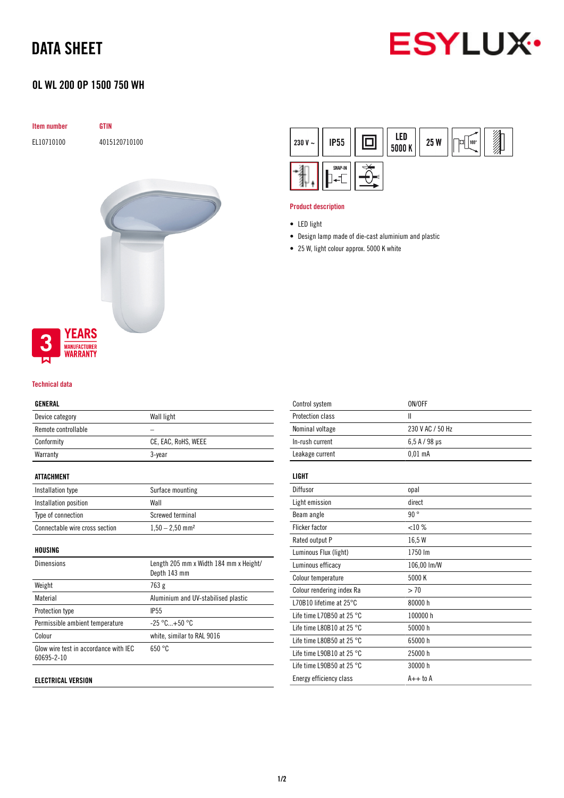# DATA SHEET



## OL WL 200 OP 1500 750 WH

| 4015120710100<br>EL10710100              |  |
|------------------------------------------|--|
|                                          |  |
|                                          |  |
|                                          |  |
|                                          |  |
|                                          |  |
|                                          |  |
|                                          |  |
|                                          |  |
|                                          |  |
|                                          |  |
|                                          |  |
|                                          |  |
|                                          |  |
|                                          |  |
| <b>YEARS</b><br>3<br><b>MANUFACTURER</b> |  |



#### Product description

- Design lamp made of die-cast aluminium and plastic
- 25 W, light colour approx. 5000 K white



#### Technical data

#### GENERAL

| Device category     | Wall light          |
|---------------------|---------------------|
| Remote controllable |                     |
| Conformity          | CE, EAC, RoHS, WEEE |
| Warranty            | 3-year              |
|                     |                     |

#### ATTACHMENT

| Installation type              | Surface mounting              |
|--------------------------------|-------------------------------|
| Installation position          | Wall                          |
| Type of connection             | Screwed terminal              |
| Connectable wire cross section | $1,50 - 2,50$ mm <sup>2</sup> |

#### HOUSING

| <b>Dimensions</b>                                   | Length 205 mm x Width 184 mm x Height/<br>Depth 143 mm |
|-----------------------------------------------------|--------------------------------------------------------|
| Weight                                              | 763 g                                                  |
| Material                                            | Aluminium and UV-stabilised plastic                    |
| Protection type                                     | <b>IP55</b>                                            |
| Permissible ambient temperature                     | $-25 °C+50 °C$                                         |
| Colour                                              | white, similar to RAL 9016                             |
| Glow wire test in accordance with IEC<br>60695-2-10 | 650 °C                                                 |
|                                                     |                                                        |

#### ELECTRICAL VERSION

| Control system                      | ON/OFF           |
|-------------------------------------|------------------|
| Protection class                    | Ш                |
| Nominal voltage                     | 230 V AC / 50 Hz |
| In-rush current                     | $6.5$ A / 98 µs  |
| Leakage current                     | $0.01$ mA        |
| LIGHT                               |                  |
| Diffusor                            | opal             |
| Light emission                      | direct           |
| Beam angle                          | 90°              |
| <b>Flicker factor</b>               | $< 10\%$         |
| Rated output P                      | 16,5W            |
| Luminous Flux (light)               | 1750 lm          |
| Luminous efficacy                   | 106,00 lm/W      |
| Colour temperature                  | 5000 K           |
| Colour rendering index Ra           | > 70             |
| L70B10 lifetime at 25°C             | 80000h           |
| Life time L70B50 at 25 $^{\circ}$ C | 100000 h         |
| Life time L80B10 at 25 $^{\circ}$ C | 50000 h          |
| Life time L80B50 at 25 $^{\circ}$ C | 65000h           |
| Life time L90B10 at 25 $^{\circ}$ C | 25000h           |
| Life time L90B50 at 25 $^{\circ}$ C | 30000 h          |
| Energy efficiency class             | $A++$ to $A$     |
|                                     |                  |

<sup>•</sup> LED light